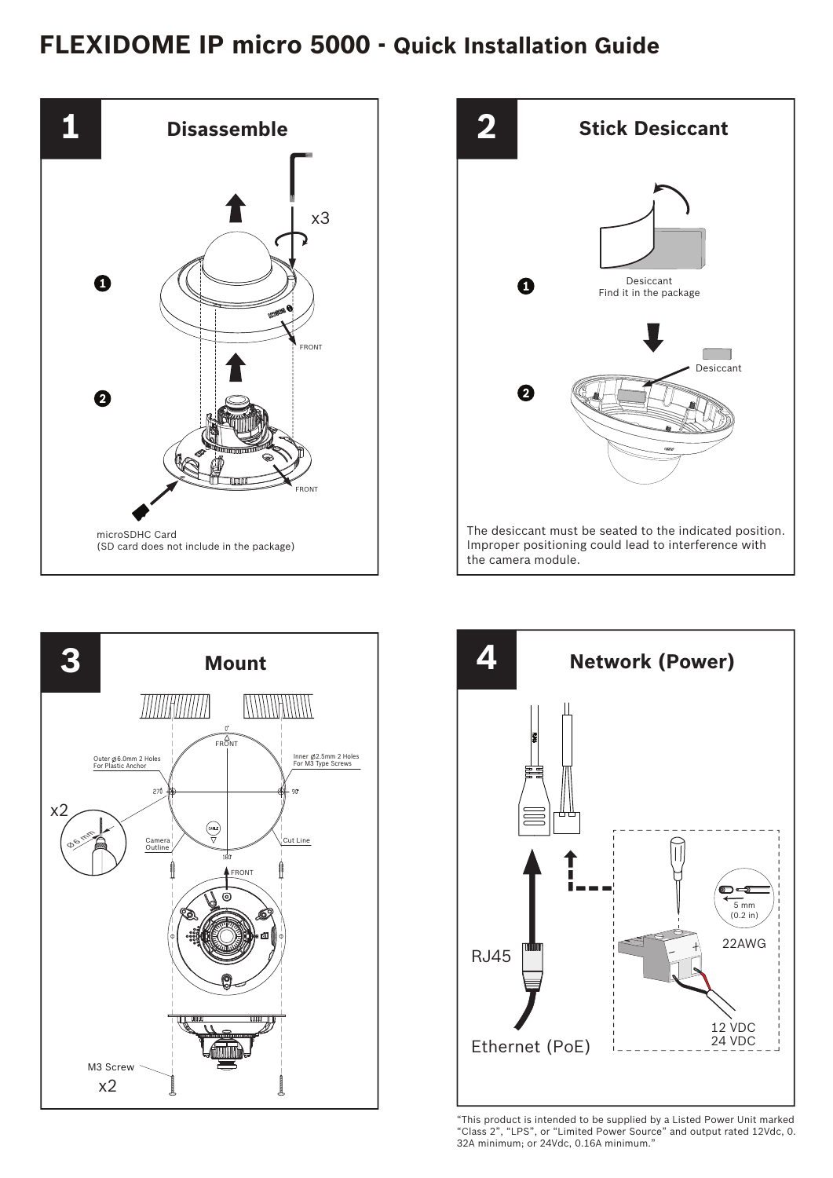## **FLEXIDOME IP micro 5000 - Quick Installation Guide**









"This product is intended to be supplied by a Listed Power Unit marked "Class 2", "LPS", or "Limited Power Source" and output rated 12Vdc, 0. 32A minimum; or 24Vdc, 0.16A minimum."